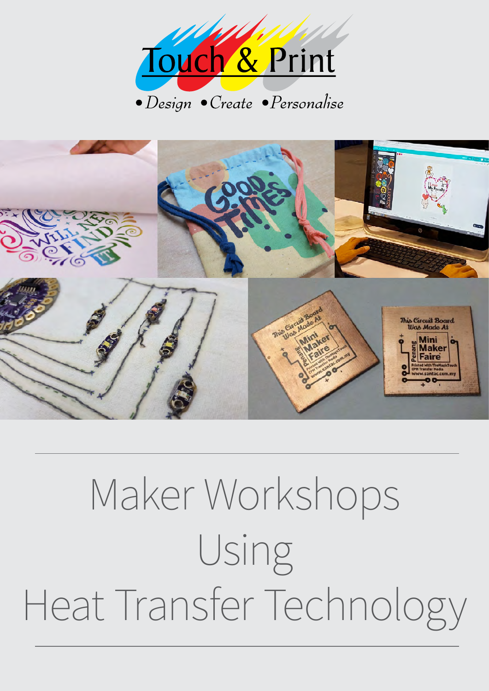



# Maker Workshops Using Heat Transfer Technology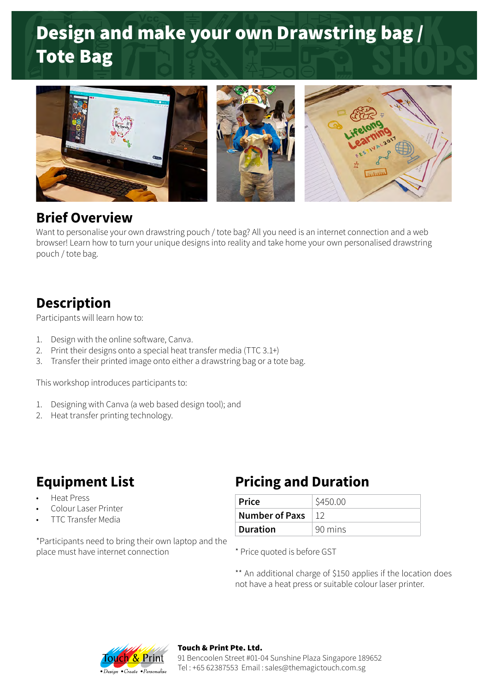# Design and make your own Drawstring bag / Tote Bag



#### **Brief Overview**

Want to personalise your own drawstring pouch / tote bag? All you need is an internet connection and a web browser! Learn how to turn your unique designs into reality and take home your own personalised drawstring pouch / tote bag.

### **Description**

Participants will learn how to:

- 1. Design with the online software, Canva.
- 2. Print their designs onto a special heat transfer media (TTC 3.1+)
- 3. Transfer their printed image onto either a drawstring bag or a tote bag.

This workshop introduces participants to:

- 1. Designing with Canva (a web based design tool); and
- 2. Heat transfer printing technology.

- Heat Press
- Colour Laser Printer
- TTC Transfer Media

\*Participants need to bring their own laptop and the place must have internet connection

### **Equipment List Pricing and Duration**

| ∣ Price∣       | \$450.00 |
|----------------|----------|
| Number of Paxs |          |
| ∣ Duration     | 90 mins  |

\* Price quoted is before GST

\*\* An additional charge of \$150 applies if the location does not have a heat press or suitable colour laser printer.



#### Touch & Print Pte. Ltd.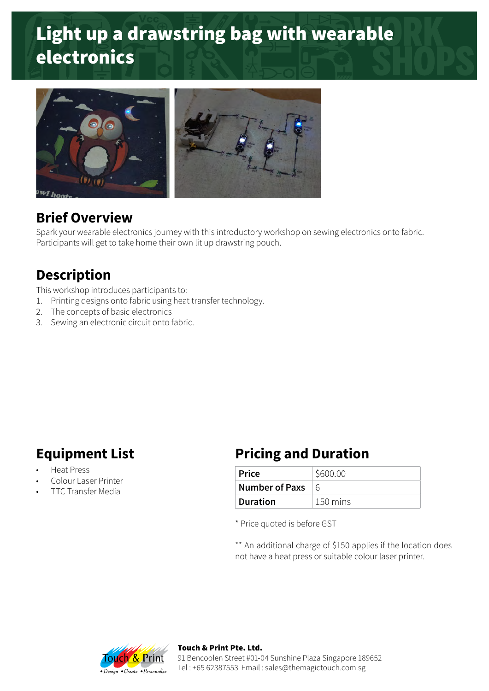# Light up a drawstring bag with wearable electronics



#### **Brief Overview**

Spark your wearable electronics journey with this introductory workshop on sewing electronics onto fabric. Participants will get to take home their own lit up drawstring pouch.

### **Description**

This workshop introduces participants to:

- 1. Printing designs onto fabric using heat transfer technology.
- 2. The concepts of basic electronics
- 3. Sewing an electronic circuit onto fabric.

- Heat Press
- Colour Laser Printer
- TTC Transfer Media

### **Equipment List Pricing and Duration**

| ∣ Price        | \$600.00 |
|----------------|----------|
| Number of Paxs | $\kappa$ |
| ∣ Duration     | 150 mins |

\* Price quoted is before GST

\*\* An additional charge of \$150 applies if the location does not have a heat press or suitable colour laser printer.



Touch & Print Pte. Ltd. 91 Bencoolen Street #01-04 Sunshine Plaza Singapore 189652 Tel : +65 62387553 Email : sales@themagictouch.com.sg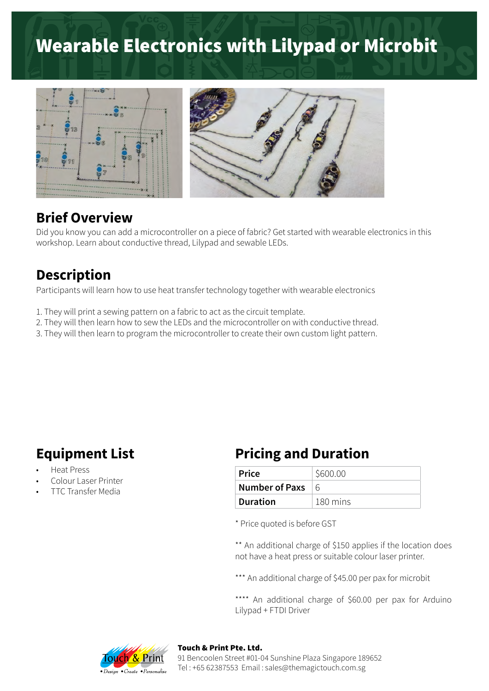# Wearable Electronics with Lilypad or Microbit



#### **Brief Overview**

Did you know you can add a microcontroller on a piece of fabric? Get started with wearable electronics in this workshop. Learn about conductive thread, Lilypad and sewable LEDs.

#### **Description**

Participants will learn how to use heat transfer technology together with wearable electronics

- 1. They will print a sewing pattern on a fabric to act as the circuit template.
- 2. They will then learn how to sew the LEDs and the microcontroller on with conductive thread.
- 3. They will then learn to program the microcontroller to create their own custom light pattern.

- Heat Press
- Colour Laser Printer
- TTC Transfer Media

#### **Equipment List Pricing and Duration**

| ∣ Price        | \$600.00           |
|----------------|--------------------|
| Number of Paxs | $\kappa$           |
| Duration       | $180 \text{ mins}$ |

\* Price quoted is before GST

\*\* An additional charge of \$150 applies if the location does not have a heat press or suitable colour laser printer.

\*\*\* An additional charge of \$45.00 per pax for microbit

\*\*\*\* An additional charge of \$60.00 per pax for Arduino Lilypad + FTDI Driver



#### Touch & Print Pte. Ltd.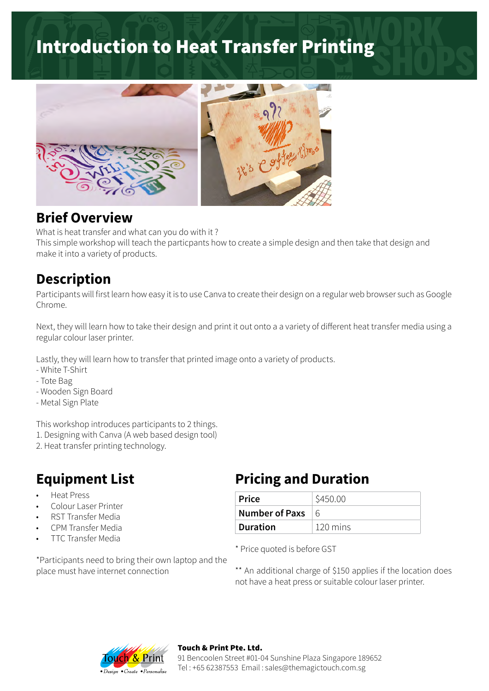## Introduction to Heat Transfer Printing



#### **Brief Overview**

What is heat transfer and what can you do with it ?

This simple workshop will teach the particpants how to create a simple design and then take that design and make it into a variety of products.

### **Description**

Participants will first learn how easy it is to use Canva to create their design on a regular web browser such as Google Chrome.

Next, they will learn how to take their design and print it out onto a a variety of different heat transfer media using a regular colour laser printer.

Lastly, they will learn how to transfer that printed image onto a variety of products.

- White T-Shirt
- Tote Bag
- Wooden Sign Board
- Metal Sign Plate

This workshop introduces participants to 2 things.

- 1. Designing with Canva (A web based design tool)
- 2. Heat transfer printing technology.

- Heat Press
- Colour Laser Printer
- RST Transfer Media
- CPM Transfer Media
- TTC Transfer Media

\*Participants need to bring their own laptop and the place must have internet connection

### **Equipment List Pricing and Duration**

| <b>Price</b>    | \$450.00           |
|-----------------|--------------------|
| Number of Paxs  | $\kappa$           |
| <b>Duration</b> | $120 \text{ mins}$ |

\* Price quoted is before GST

\*\* An additional charge of \$150 applies if the location does not have a heat press or suitable colour laser printer.



#### Touch & Print Pte. Ltd.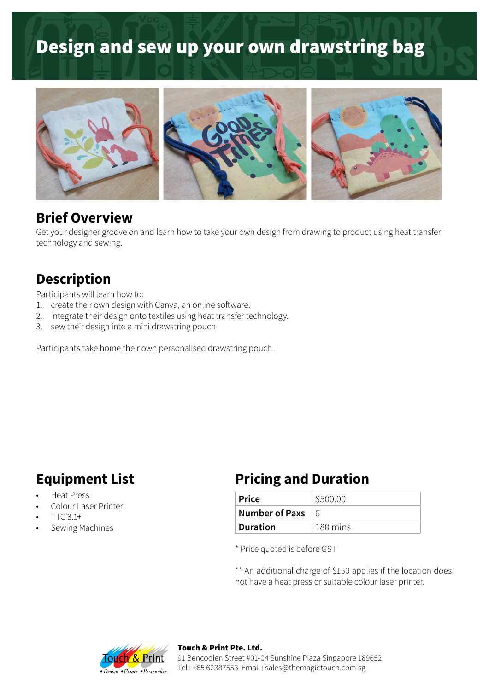# Design and sew up your own drawstring bag



#### **Brief Overview**

Get your designer groove on and learn how to take your own design from drawing to product using heat transfer technology and sewing.

#### **Description**

Participants will learn how to:

- 1. create their own design with Canva, an online software.
- 2. integrate their design onto textiles using heat transfer technology.
- 3. sew their design into a mini drawstring pouch

Participants take home their own personalised drawstring pouch.

- Heat Press
- Colour Laser Printer
- TTC 3.1+
- Sewing Machines

#### **Equipment List Pricing and Duration**

| ∣ Price         | \$500.00 |
|-----------------|----------|
| Number of Paxs  | $\kappa$ |
| <b>Duration</b> | 180 mins |

\* Price quoted is before GST

\*\* An additional charge of \$150 applies if the location does not have a heat press or suitable colour laser printer.



#### Touch & Print Pte. Ltd.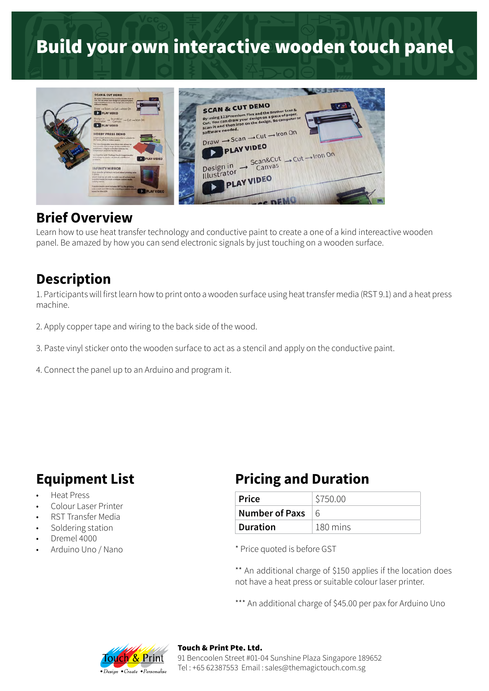# Build your own interactive wooden touch panel



#### **Brief Overview**

Learn how to use heat transfer technology and conductive paint to create a one of a kind intereactive wooden panel. Be amazed by how you can send electronic signals by just touching on a wooden surface.

#### **Description**

1. Participants will first learn how to print onto a wooden surface using heat transfer media (RST 9.1) and a heat press machine.

- 2. Apply copper tape and wiring to the back side of the wood.
- 3. Paste vinyl sticker onto the wooden surface to act as a stencil and apply on the conductive paint.
- 4. Connect the panel up to an Arduino and program it.

- Heat Press
- Colour Laser Printer
- RST Transfer Media
- Soldering station
- Dremel 4000
- Arduino Uno / Nano

#### **Equipment List Pricing and Duration**

| ∣ Price         | \$750.00   |
|-----------------|------------|
| Number of Paxs  | $\sqrt{6}$ |
| <b>Duration</b> | 180 mins   |

\* Price quoted is before GST

\*\* An additional charge of \$150 applies if the location does not have a heat press or suitable colour laser printer.

\*\*\* An additional charge of \$45.00 per pax for Arduino Uno



#### Touch & Print Pte. Ltd.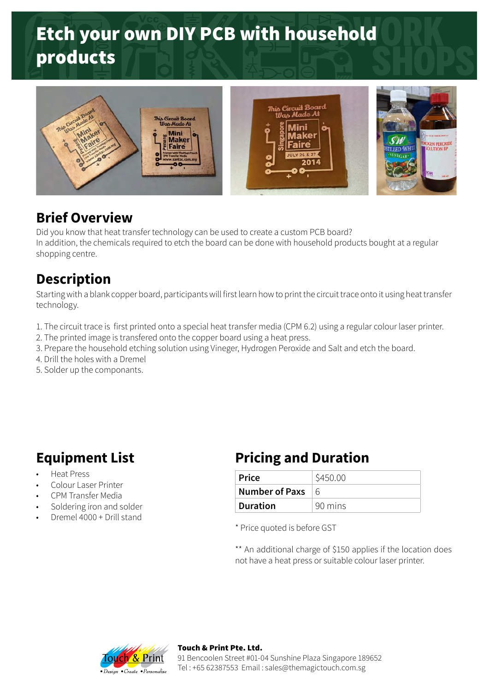# Etch your own DIY PCB with household products



#### **Brief Overview**

Did you know that heat transfer technology can be used to create a custom PCB board? In addition, the chemicals required to etch the board can be done with household products bought at a regular shopping centre.

### **Description**

Starting with a blank copper board, participants will first learn how to print the circuit trace onto it using heat transfer technology.

- 1. The circuit trace is first printed onto a special heat transfer media (CPM 6.2) using a regular colour laser printer.
- 2. The printed image is transfered onto the copper board using a heat press.
- 3. Prepare the household etching solution using Vineger, Hydrogen Peroxide and Salt and etch the board.
- 4. Drill the holes with a Dremel
- 5. Solder up the componants.

- Heat Press
- Colour Laser Printer
- CPM Transfer Media
- Soldering iron and solder
- Dremel 4000 + Drill stand

### **Equipment List Pricing and Duration**

| ∣ Price         | \$450.00    |
|-----------------|-------------|
| Number of Paxs  | $6^{\circ}$ |
| <b>Duration</b> | 90 mins     |

\* Price quoted is before GST

\*\* An additional charge of \$150 applies if the location does not have a heat press or suitable colour laser printer.



Touch & Print Pte. Ltd. 91 Bencoolen Street #01-04 Sunshine Plaza Singapore 189652 Tel : +65 62387553 Email : sales@themagictouch.com.sg